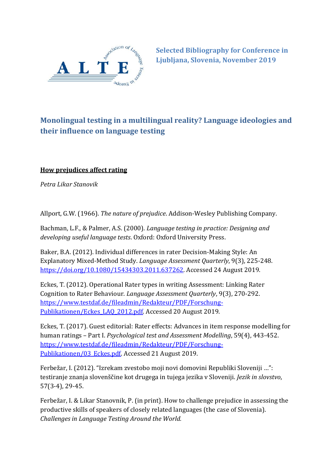

**Selected Bibliography for Conference in Ljubljana, Slovenia, November 2019**

# **Monolingual testing in a multilingual reality? Language ideologies and their influence on language testing**

## **How prejudices affect rating**

*Petra Likar Stanovik*

Allport, G.W. (1966). *The nature of prejudice*. Addison-Wesley Publishing Company.

Bachman, L.F., & Palmer, A.S. (2000). *Language testing in practice: Designing and developing useful language tests*. Oxford: Oxford University Press.

Baker, B.A. (2012). Individual differences in rater Decision-Making Style: An Explanatory Mixed-Method Study. *Language Assessment Quarterly*, 9(3), 225-248. [https://doi.org/10.1080/15434303.2011.637262.](https://doi.org/10.1080/15434303.2011.637262) Accessed 24 August 2019.

Eckes, T. (2012). Operational Rater types in writing Assessment: Linking Rater Cognition to Rater Behaviour. *Language Assessment Quarterly*, 9(3), 270-292. [https://www.testdaf.de/fileadmin/Redakteur/PDF/Forschung-](https://www.testdaf.de/fileadmin/Redakteur/PDF/Forschung-Publikationen/Eckes_LAQ_2012.pdf)[Publikationen/Eckes\\_LAQ\\_2012.pdf.](https://www.testdaf.de/fileadmin/Redakteur/PDF/Forschung-Publikationen/Eckes_LAQ_2012.pdf) Accessed 20 August 2019.

Eckes, T. (2017). Guest editorial: Rater effects: Advances in item response modelling for human ratings – Part I. *Psychological test and Assessment Modelling*, 59(4), 443-452. [https://www.testdaf.de/fileadmin/Redakteur/PDF/Forschung-](https://www.testdaf.de/fileadmin/Redakteur/PDF/Forschung-Publikationen/03_Eckes.pdf)[Publikationen/03\\_Eckes.pdf.](https://www.testdaf.de/fileadmin/Redakteur/PDF/Forschung-Publikationen/03_Eckes.pdf) Accessed 21 August 2019.

Ferbežar, I. (2012). "Izrekam zvestobo moji novi domovini Republiki Sloveniji …": testiranje znanja slovenščine kot drugega in tujega jezika v Sloveniji. *Jezik in slovstvo*, 57(3-4), 29-45.

Ferbežar, I. & Likar Stanovnik, P. (in print). How to challenge prejudice in assessing the productive skills of speakers of closely related languages (the case of Slovenia). *Challenges in Language Testing Around the World.*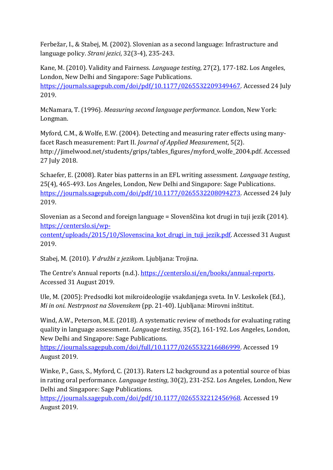Ferbežar, I., & Stabej, M. (2002). Slovenian as a second language: Infrastructure and language policy. *Strani jezici*, 32(3-4), 235-243.

Kane, M. (2010). Validity and Fairness. *Language testing*, 27(2), 177-182. Los Angeles, London, New Delhi and Singapore: Sage Publications. [https://journals.sagepub.com/doi/pdf/10.1177/0265532209349467.](https://journals.sagepub.com/doi/pdf/10.1177/0265532209349467) Accessed 24 July 2019.

McNamara, T. (1996). *Measuring second language performance*. London, New York: Longman.

Myford, C.M., & Wolfe, E.W. (2004). Detecting and measuring rater effects using manyfacet Rasch measurement: Part II. *Journal of Applied Measurement*, 5(2). http://jimelwood.net/students/grips/tables\_figures/myford\_wolfe\_2004.pdf. Accessed 27 July 2018.

Schaefer, E. (2008). Rater bias patterns in an EFL writing assessment. *Language testing*, 25(4), 465-493. Los Angeles, London, New Delhi and Singapore: Sage Publications. [https://journals.sagepub.com/doi/pdf/10.1177/0265532208094273.](https://journals.sagepub.com/doi/pdf/10.1177/0265532208094273) Accessed 24 July 2019.

Slovenian as a Second and foreign language = Slovenščina kot drugi in tuji jezik (2014). [https://centerslo.si/wp-](https://centerslo.si/wp-content/uploads/2015/10/Slovenscina_kot_drugi_in_tuji_jezik.pdf)

content/uploads/2015/10/Slovenscina kot drugi in tuji jezik.pdf. Accessed 31 August 2019.

Stabej, M. (2010). *V družbi z jezikom*. Ljubljana: Trojina.

The Centre's Annual reports (n.d.). [https://centerslo.si/en/books/annual-reports.](https://centerslo.si/en/books/annual-reports/)  Accessed 31 August 2019.

Ule, M. (2005): Predsodki kot mikroideologije vsakdanjega sveta. In V. Leskošek (Ed.), *Mi in oni. Nestrpnost na Slovenskem* (pp. 21-40). Ljubljana: Mirovni inštitut.

Wind, A.W., Peterson, M.E. (2018). A systematic review of methods for evaluating rating quality in language assessment. *Language testing*, 35(2), 161-192. Los Angeles, London, New Delhi and Singapore: Sage Publications.

[https://journals.sagepub.com/doi/full/10.1177/0265532216686999.](https://journals.sagepub.com/doi/full/10.1177/0265532216686999) Accessed 19 August 2019.

Winke, P., Gass, S., Myford, C. (2013). Raters L2 background as a potential source of bias in rating oral performance. *Language testing*, 30(2), 231-252. Los Angeles, London, New Delhi and Singapore: Sage Publications.

[https://journals.sagepub.com/doi/pdf/10.1177/0265532212456968.](https://journals.sagepub.com/doi/pdf/10.1177/0265532212456968) Accessed 19 August 2019.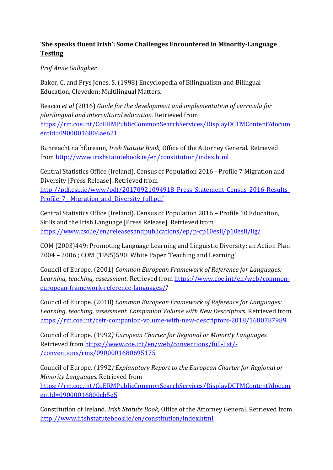## **'She speaks fluent Irish': Some Challenges Encountered in Minority-Language Testing**

### *Prof Anne Gallagher*

Baker, C. and Prys Jones, S. (1998) Encyclopedia of Bilingualism and Bilingual Education, Clevedon: Multilingual Matters.

Beacco *et al* (2016) *Guide for the development and implementation of curricula for plurilingual and intercultural education.* Retrieved from [https://rm.coe.int/CoERMPublicCommonSearchServices/DisplayDCTMContent?docum](https://rm.coe.int/CoERMPublicCommonSearchServices/DisplayDCTMContent?documentId=09000016806ae621) [entId=09000016806ae621](https://rm.coe.int/CoERMPublicCommonSearchServices/DisplayDCTMContent?documentId=09000016806ae621)

Bunreacht na hÉireann, *Irish Statute Book,* Office of the Attorney General. Retrieved from<http://www.irishstatutebook.ie/en/constitution/index.html>

Central Statistics Office (Ireland). Census of Population 2016 - Profile 7 Migration and Diversity [Press Release]. Retrieved from

http://pdf.cso.ie/www/pdf/20170921094918 Press Statement Census 2016 Results Profile 7 Migration and Diversity full.pdf

Central Statistics Office (Ireland). Census of Population 2016 – Profile 10 Education, Skills and the Irish Language [Press Release]. Retrieved from <https://www.cso.ie/en/releasesandpublications/ep/p-cp10esil/p10esil/ilg/>

COM (2003)449: Promoting Language Learning and Linguistic Diversity: an Action Plan 2004 – 2006 ; COM (1995)590: White Paper 'Teaching and Learning'

Council of Europe. (2001) *Common European Framework of Reference for Languages: Learning, teaching, assessment*. Retrieved from [https://www.coe.int/en/web/common](https://www.coe.int/en/web/common-european-framework-reference-languages/)[european-framework-reference-languages/?](https://www.coe.int/en/web/common-european-framework-reference-languages/)

Council of Europe. (2018) *Common European Framework of Reference for Languages: Learning, teaching, assessment. Companion Volume with New Descriptors.* Retrieved from <https://rm.coe.int/cefr-companion-volume-with-new-descriptors-2018/1680787989>

Council of Europe. (1992*) European Charter for Regional or Minority Languages.* Retrieved from [https://www.coe.int/en/web/conventions/full-list/-](https://www.coe.int/en/web/conventions/full-list/-/conventions/rms/0900001680695175) [/conventions/rms/0900001680695175](https://www.coe.int/en/web/conventions/full-list/-/conventions/rms/0900001680695175)

Council of Europe. (1992*) Explanatory Report to the European Charter for Regional or Minority Languages.* Retrieved from [https://rm.coe.int/CoERMPublicCommonSearchServices/DisplayDCTMContent?docum](https://rm.coe.int/CoERMPublicCommonSearchServices/DisplayDCTMContent?documentId=09000016800cb5e5) [entId=09000016800cb5e5](https://rm.coe.int/CoERMPublicCommonSearchServices/DisplayDCTMContent?documentId=09000016800cb5e5)

Constitution of Ireland. *Irish Statute Book,* Office of the Attorney General. Retrieved from <http://www.irishstatutebook.ie/en/constitution/index.html>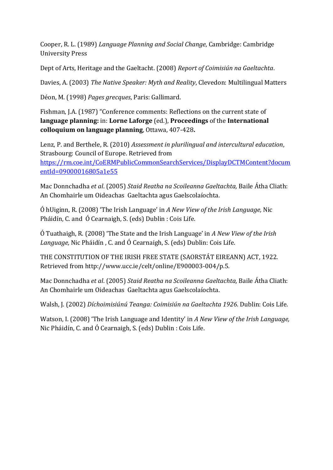Cooper, R. L. (1989) *Language Planning and Social Change*, Cambridge: Cambridge University Press

Dept of Arts, Heritage and the Gaeltacht. (2008) *Report of Coimisiún na Gaeltachta*.

Davies, A. (2003) *The Native Speaker: Myth and Reality*, Clevedon: Multilingual Matters

Déon, M. (1998) *Pages grecques*, Paris: Gallimard.

Fishman, J.A. (1987) "Conference comments: Reflections on the current state of **language planning:** in: **Lorne Laforge** (ed.), **Proceedings** of the **International colloquium on language planning**, Ottawa, 407-428**.**

Lenz, P. and Berthele, R. (2010) *Assessment in plurilingual and intercultural education*, Strasbourg: Council of Europe. Retrieved from [https://rm.coe.int/CoERMPublicCommonSearchServices/DisplayDCTMContent?docum](https://rm.coe.int/CoERMPublicCommonSearchServices/DisplayDCTMContent?documentId=09000016805a1e55) [entId=09000016805a1e55](https://rm.coe.int/CoERMPublicCommonSearchServices/DisplayDCTMContent?documentId=09000016805a1e55)

Mac Donnchadha *et al*. (2005) *Staid Reatha na Scoileanna Gaeltachta,* Baile Átha Cliath: An Chomhairle um Oideachas Gaeltachta agus Gaelscolaíochta.

Ó hUiginn, R. (2008) 'The Irish Language' in *A New View of the Irish Language,* Nic Pháidín, C. and Ó Cearnaigh, S. (eds) Dublin : Cois Life.

Ó Tuathaigh, R. (2008) 'The State and the Irish Language' in *A New View of the Irish Language,* Nic Pháidín , C. and Ó Cearnaigh, S. (eds) Dublin: Cois Life.

THE CONSTITUTION OF THE IRISH FREE STATE (SAORSTÁT EIREANN) ACT, 1922. Retrieved from http://www.ucc.ie/celt/online/E900003-004/p.5.

Mac Donnchadha *et al*. (2005) *Staid Reatha na Scoileanna Gaeltachta,* Baile Átha Cliath: An Chomhairle um Oideachas Gaeltachta agus Gaelscolaíochta.

Walsh, J. (2002) *Díchoimisiúnú Teanga: Coimisiún na Gaeltachta 1926*. Dublin: Cois Life.

Watson, I. (2008) 'The Irish Language and Identity' in *A New View of the Irish Language,*  Nic Pháidín, C. and Ó Cearnaigh, S. (eds) Dublin : Cois Life.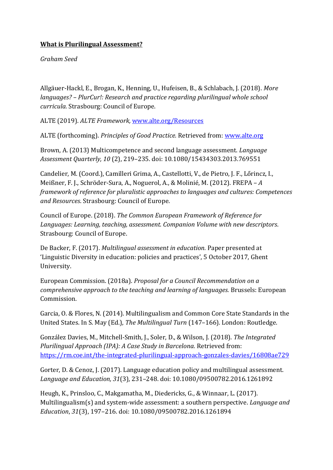## **What is Plurilingual Assessment?**

*Graham Seed*

Allgäuer-Hackl, E., Brogan, K., Henning, U., Hufeisen, B., & Schlabach, J. (2018). *More languages? – PlurCur!: Research and practice regarding plurilingual whole school curricula.* Strasbourg: Council of Europe.

ALTE (2019). *ALTE Framework,* [www.alte.org/Resources](http://www.alte.org/Resources)

ALTE (forthcoming). *Principles of Good Practice.* Retrieved from: [www.alte.org](http://www.alte.org/)

Brown, A. (2013) Multicompetence and second language assessment. *Language Assessment Quarterly, 10* (2), 219–235. doi: 10.1080/15434303.2013.769551

Candelier, M. (Coord.), Camilleri Grima, A., Castellotti, V., de Pietro, J. F., Lőrincz, I., Meißner, F. J., Schröder-Sura, A., Noguerol, A., & Molinié, M. (2012). FREPA – *A framework of reference for pluralistic approaches to languages and cultures: Competences and Resources*. Strasbourg: Council of Europe.

Council of Europe. (2018). *The Common European Framework of Reference for Languages: Learning, teaching, assessment. Companion Volume with new descriptors*. Strasbourg: Council of Europe.

De Backer, F. (2017). *Multilingual assessment in education.* Paper presented at 'Linguistic Diversity in education: policies and practices', 5 October 2017, Ghent University.

European Commission. (2018a). *Proposal for a Council Recommendation on a comprehensive approach to the teaching and learning of languages.* Brussels: European Commission.

Garcia, O. & Flores, N. (2014). Multilingualism and Common Core State Standards in the United States. In S. May (Ed.), *The Multilingual Turn* (147–166)*.* London: Routledge.

González Davies, M., Mitchell-Smith, J., Soler, D., & Wilson, J. (2018). *The Integrated Plurilingual Approach (IPA): A Case Study in Barcelona.* Retrieved from: <https://rm.coe.int/the-integrated-plurilingual-approach-gonzales-davies/16808ae729>

Gorter, D. & Cenoz, J. (2017). Language education policy and multilingual assessment. *Language and Education, 31*(3)*,* 231–248. doi: 10.1080/09500782.2016.1261892

Heugh, K., Prinsloo, C., Makgamatha, M., Diedericks, G., & Winnaar, L. (2017). Multilingualism(s) and system-wide assessment: a southern perspective. *Language and Education*, *31*(3), 197–216. doi: 10.1080/09500782.2016.1261894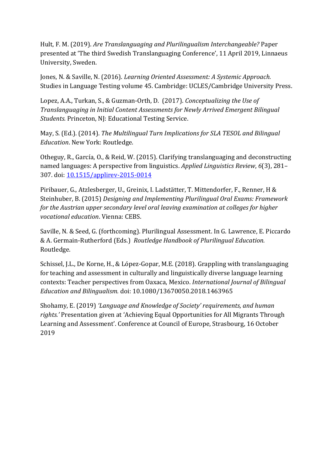Hult, F. M. (2019). *Are Translanguaging and Plurilingualism Interchangeable?* Paper presented at 'The third Swedish Translanguaging Conference', 11 April 2019, Linnaeus University, Sweden.

Jones, N. & Saville, N. (2016). *Learning Oriented Assessment: A Systemic Approach.*  Studies in Language Testing volume 45. Cambridge: UCLES/Cambridge University Press.

Lopez, A.A., Turkan, S., & Guzman-Orth, D. (2017). *Conceptualizing the Use of Translanguaging in Initial Content Assessments for Newly Arrived Emergent Bilingual Students.* Princeton, NJ: Educational Testing Service.

May, S. (Ed.). (2014). *The Multilingual Turn Implications for SLA TESOL and Bilingual Education*. New York: Routledge.

Otheguy, R., García, O., & Reid, W. (2015). Clarifying translanguaging and deconstructing named languages: A perspective from linguistics. *Applied Linguistics Review*, *6*(3), 281– 307. doi: [10.1515/applirev-2015-0014](http://dx.doi.org/10.1515/applirev-2015-0014)

Piribauer, G., Atzlesberger, U., Greinix, I. Ladstätter, T. Mittendorfer, F., Renner, H & Steinhuber, B. (2015) *Designing and Implementing Plurilingual Oral Exams: Framework for the Austrian upper secondary level oral leaving examination at colleges for higher vocational education*. Vienna: CEBS.

Saville, N. & Seed, G. (forthcoming). Plurilingual Assessment. In G. Lawrence, E. Piccardo & A. Germain-Rutherford (Eds.) *Routledge Handbook of Plurilingual Education.*  Routledge.

Schissel, J.L., De Korne, H., & López-Gopar, M.E. (2018). Grappling with translanguaging for teaching and assessment in culturally and linguistically diverse language learning contexts: Teacher perspectives from Oaxaca, Mexico. *International Journal of Bilingual Education and Bilingualism.* doi: 10.1080/13670050.2018.1463965

Shohamy, E. (2019) *'Language and Knowledge of Society' requirements, and human rights.'* Presentation given at 'Achieving Equal Opportunities for All Migrants Through Learning and Assessment'. Conference at Council of Europe, Strasbourg, 16 October 2019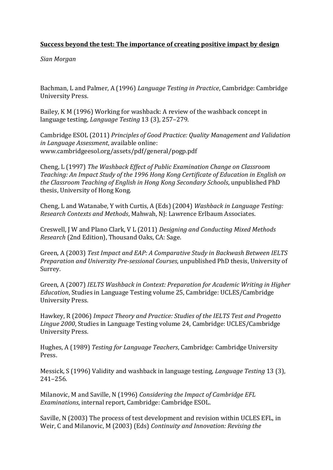#### **Success beyond the test: The importance of creating positive impact by design**

*Sian Morgan*

Bachman, L and Palmer, A (1996) *Language Testing in Practice*, Cambridge: Cambridge University Press.

Bailey, K M (1996) Working for washback: A review of the washback concept in language testing, *Language Testing* 13 (3), 257–279.

Cambridge ESOL (2011) *Principles of Good Practice: Quality Management and Validation in Language Assessment*, available online: www.cambridgeesol.org/assets/pdf/general/pogp.pdf

Cheng, L (1997) *The Washback Effect of Public Examination Change on Classroom Teaching: An Impact Study of the 1996 Hong Kong Certificate of Education in English on the Classroom Teaching of English in Hong Kong Secondary Schools*, unpublished PhD thesis, University of Hong Kong.

Cheng, L and Watanabe, Y with Curtis, A (Eds) (2004) *Washback in Language Testing: Research Contexts and Methods*, Mahwah, NJ: Lawrence Erlbaum Associates.

Creswell, J W and Plano Clark, V L (2011) *Designing and Conducting Mixed Methods Research* (2nd Edition), Thousand Oaks, CA: Sage.

Green, A (2003) *Test Impact and EAP: A Comparative Study in Backwash Between IELTS Preparation and University Pre-sessional Courses*, unpublished PhD thesis, University of Surrey.

Green, A (2007) *IELTS Washback in Context: Preparation for Academic Writing in Higher Education*, Studies in Language Testing volume 25, Cambridge: UCLES/Cambridge University Press.

Hawkey, R (2006) *Impact Theory and Practice: Studies of the IELTS Test and Progetto Lingue 2000*, Studies in Language Testing volume 24, Cambridge: UCLES/Cambridge University Press.

Hughes, A (1989) *Testing for Language Teachers*, Cambridge: Cambridge University Press.

Messick, S (1996) Validity and washback in language testing, *Language Testing* 13 (3), 241–256.

Milanovic, M and Saville, N (1996) *Considering the Impact of Cambridge EFL Examinations*, internal report, Cambridge: Cambridge ESOL.

Saville, N (2003) The process of test development and revision within UCLES EFL, in Weir, C and Milanovic, M (2003) (Eds) *Continuity and Innovation: Revising the*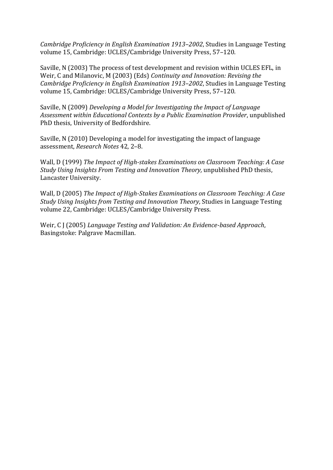*Cambridge Proficiency in English Examination 1913–2002*, Studies in Language Testing volume 15, Cambridge: UCLES/Cambridge University Press, 57–120.

Saville, N (2003) The process of test development and revision within UCLES EFL, in Weir, C and Milanovic, M (2003) (Eds) *Continuity and Innovation: Revising the Cambridge Proficiency in English Examination 1913–2002*, Studies in Language Testing volume 15, Cambridge: UCLES/Cambridge University Press, 57–120.

Saville, N (2009) *Developing a Model for Investigating the Impact of Language Assessment within Educational Contexts by a Public Examination Provider*, unpublished PhD thesis, University of Bedfordshire.

Saville, N (2010) Developing a model for investigating the impact of language assessment, *Research Notes* 42, 2–8.

Wall, D (1999) *The Impact of High-stakes Examinations on Classroom Teaching: A Case Study Using Insights From Testing and Innovation Theory,* unpublished PhD thesis, Lancaster University.

Wall, D (2005) *The Impact of High-Stakes Examinations on Classroom Teaching: A Case Study Using Insights from Testing and Innovation Theory*, Studies in Language Testing volume 22, Cambridge: UCLES/Cambridge University Press.

Weir, C J (2005) *Language Testing and Validation: An Evidence-based Approach*, Basingstoke: Palgrave Macmillan.